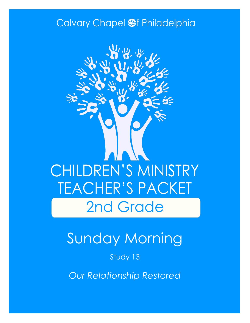### Calvary Chapel @f Philadelphia



# Sunday Morning

Study 13

*Our Relationship Restored*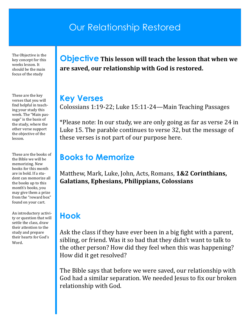### Our Relationship Restored

The Objective is the key concept for this weeks lesson. It should be the main focus of the study

These are the key verses that you will find helpful in teaching your study this week. The "Main passage" is the basis of the study, where the other verse support the objective of the lesson.

These are the books of the Bible we will be memorizing. New books for this month are in bold. If a student can memorize all the books up to this month's books, you may give them a prize from the "reward box" found on your cart.

An introductory activity or question that will settle the class, draw their attention to the study and prepare their hearts for God's Word.

**Objective This lesson will teach the lesson that when we are saved, our relationship with God is restored.**

#### **Key Verses**

Colossians 1:19-22; Luke 15:11-24—Main Teaching Passages

\*Please note: In our study, we are only going as far as verse 24 in Luke 15. The parable continues to verse 32, but the message of these verses is not part of our purpose here.

### **Books to Memorize**

Matthew, Mark, Luke, John, Acts, Romans, **1&2 Corinthians, Galatians, Ephesians, Philippians, Colossians**

### **Hook**

Ask the class if they have ever been in a big fight with a parent, sibling, or friend. Was it so bad that they didn't want to talk to the other person? How did they feel when this was happening? How did it get resolved?

The Bible says that before we were saved, our relationship with God had a similar separation. We needed Jesus to fix our broken relationship with God.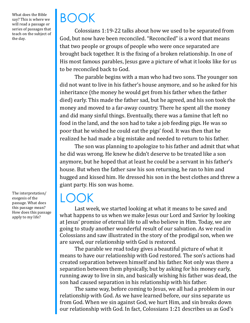What does the Bible say? This is where we will read a passage or series of passages that teach on the subject of the day.

The interpretation/ exegesis of the passage. What does this passage mean? How does this passage apply to my life?

## BOOK

Colossians 1:19-22 talks about how we used to be separated from God, but now have been reconciled. "Reconciled" is a word that means that two people or groups of people who were once separated are brought back together. It is the fixing of a broken relationship. In one of His most famous parables, Jesus gave a picture of what it looks like for us to be reconciled back to God.

The parable begins with a man who had two sons. The younger son did not want to live in his father's house anymore, and so he asked for his inheritance (the money he would get from his father when the father died) early. This made the father sad, but he agreed, and his son took the money and moved to a far-away country. There he spent all the money and did many sinful things. Eventually, there was a famine that left no food in the land, and the son had to take a job feeding pigs. He was so poor that he wished he could eat the pigs' food. It was then that he realized he had made a big mistake and needed to return to his father.

The son was planning to apologize to his father and admit that what he did was wrong. He knew he didn't deserve to be treated like a son anymore, but he hoped that at least he could be a servant in his father's house. But when the father saw his son returning, he ran to him and hugged and kissed him. He dressed his son in the best clothes and threw a giant party. His son was home.

### $\mathsf{L}(\mathcal{C})$

Last week, we started looking at what it means to be saved and what happens to us when we make Jesus our Lord and Savior by looking at Jesus' promise of eternal life to all who believe in Him. Today, we are going to study another wonderful result of our salvation. As we read in Colossians and saw illustrated in the story of the prodigal son, when we are saved, our relationship with God is restored.

The parable we read today gives a beautiful picture of what it means to have our relationship with God restored. The son's actions had created separation between himself and his father. Not only was there a separation between them physically, but by asking for his money early, running away to live in sin, and basically wishing his father was dead, the son had caused separation in his relationship with his father.

The same way, before coming to Jesus, we all had a problem in our relationship with God. As we have learned before, our sins separate us from God. When we sin against God, we hurt Him, and sin breaks down our relationship with God. In fact, Colossians 1:21 describes us as God's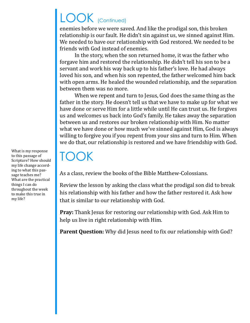## LOOK (Continued)

enemies before we were saved. And like the prodigal son, this broken relationship is our fault. He didn't sin against us, we sinned against Him. We needed to have our relationship with God restored. We needed to be friends with God instead of enemies.

In the story, when the son returned home, it was the father who forgave him and restored the relationship. He didn't tell his son to be a servant and work his way back up to his father's love. He had always loved his son, and when his son repented, the father welcomed him back with open arms. He healed the wounded relationship, and the separation between them was no more.

When we repent and turn to Jesus, God does the same thing as the father in the story. He doesn't tell us that we have to make up for what we have done or serve Him for a little while until He can trust us. He forgives us and welcomes us back into God's family. He takes away the separation between us and restores our broken relationship with Him. No matter what we have done or how much we've sinned against Him, God is always willing to forgive you if you repent from your sins and turn to Him. When we do that, our relationship is restored and we have friendship with God.

### TOOK

As a class, review the books of the Bible Matthew-Colossians.

Review the lesson by asking the class what the prodigal son did to break his relationship with his father and how the father restored it. Ask how that is similar to our relationship with God.

**Pray:** Thank Jesus for restoring our relationship with God. Ask Him to help us live in right relationship with Him.

**Parent Question:** Why did Jesus need to fix our relationship with God?

What is my response to this passage of Scripture? How should my life change according to what this passage teaches me? What are the practical things I can do throughout the week to make this true in my life?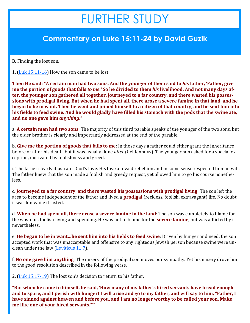## FURTHER STUDY

#### **Commentary on Luke 15:11-24 by David Guzik**

B. Finding the lost son.

1.  $(Luk 15:11-16)$  $(Luk 15:11-16)$  How the son came to be lost.

**Then He said: "A certain man had two sons. And the younger of them said to** *his* **father, 'Father, give me the portion of goods that falls** *to me.'* **So he divided to them** *his* **livelihood. And not many days after, the younger son gathered all together, journeyed to a far country, and there wasted his possessions with prodigal living. But when he had spent all, there arose a severe famine in that land, and he began to be in want. Then he went and joined himself to a citizen of that country, and he sent him into his fields to feed swine. And he would gladly have filled his stomach with the pods that the swine ate, and no one gave him** *anything***."**

a. **A certain man had two sons**: The majority of this third parable speaks of the younger of the two sons, but the older brother is clearly and importantly addressed at the end of the parable.

b. **Give me the portion of goods that falls to me**: In those days a father could either grant the inheritance before or after his death, but it was usually done *after* (Geldenhuys). The younger son asked for a special exception, motivated by foolishness and greed.

i. The father clearly illustrates God's love. His love allowed rebellion and in some sense respected human will. The father knew that the son made a foolish and greedy request, yet allowed him to go his course nonetheless.

c. **Journeyed to a far country, and there wasted his possessions with prodigal living**: The son left the area to become independent of the father and lived a **prodigal** (reckless, foolish, extravagant) life. No doubt it was fun while it lasted.

d. **When he had spent all, there arose a severe famine in the land**: The son was completely to blame for the wasteful, foolish living and spending. He was not to blame for the **severe famine**, but was afflicted by it nevertheless.

e. **He began to be in want…he sent him into his fields to feed swine**: Driven by hunger and need, the son accepted work that was unacceptable and offensive to any righteous Jewish person because swine were unclean under the law ([Leviticus 11:7\)](https://www.blueletterbible.org/kjv/leviticus/11/7/s_101007).

f. **No one gave him anything**: The misery of the prodigal son moves our sympathy. Yet his misery drove him to the good resolution described in the following verse.

2. [\(Luk 15:17](https://www.blueletterbible.org/kjv/luke/15/17-19/s_988017)-19) The lost son's decision to return to his father.

**"But when he came to himself, he said, 'How many of my father's hired servants have bread enough and to spare, and I perish with hunger! I will arise and go to my father, and will say to him, "Father, I have sinned against heaven and before you, and I am no longer worthy to be called your son. Make me like one of your hired servants."'"**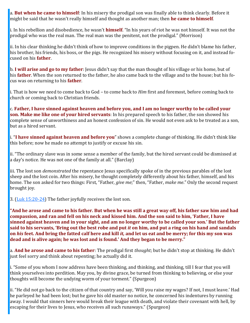a. **But when he came to himself**: In his misery the prodigal son was finally able to think clearly. Before it might be said that he wasn't really himself and thought as another man; then **he came to himself**.

i. In his rebellion and disobedience, he wasn't **himself**. "In his years of riot he was not himself. It was not the prodigal who was the real man. The real man was the penitent, not the prodigal." (Morrison)

ii. In his clear thinking he didn't think of how to improve conditions in the pigpen. He didn't blame his father, his brother, his friends, his boss, or the pigs. He recognized his misery without focusing on it, and instead focused on his **father**.

b. **I will arise and go to my father**: Jesus didn't say that the man thought of his village or his home, but of his **father**. When the son returned to the father, he also came back to the village and to the house; but his focus was on returning to his **father**.

i. That is how we need to come back to God – to come back to *Him* first and foremost, before coming back to church or coming back to Christian friends.

c. **Father, I have sinned against heaven and before you, and I am no longer worthy to be called your son. Make me like one of your hired servants**: In his prepared speech to his father, the son showed his complete sense of unworthiness and an honest confession of sin. He would not even ask to be treated as a son, but as a hired servant.

i. "**I have sinned against heaven and before you**" shows a complete change of thinking. He didn't think like this before; now he made no attempt to justify or excuse his sin.

ii. "The ordinary slave was in some sense a member of the family, but the hired servant could be dismissed at a day's notice. He was not one of the family at all." (Barclay)

iii. The lost son *demonstrated* the repentance Jesus specifically spoke of in the previous parables of the lost sheep and the lost coin. After his misery, he thought completely differently about his father, himself, and his home. The son asked for two things: First, "Father, *give me*;" then, "Father, *make me*." Only the second request brought joy.

3.  $(\underline{\text{Luk 15:20-24}})$  $(\underline{\text{Luk 15:20-24}})$  $(\underline{\text{Luk 15:20-24}})$  The father joyfully receives the lost son.

**"And he arose and came to his father. But when he was still a great way off, his father saw him and had compassion, and ran and fell on his neck and kissed him. And the son said to him, 'Father, I have sinned against heaven and in your sight, and am no longer worthy to be called your son.' But the father said to his servants, 'Bring out the best robe and put** *it* **on him, and put a ring on his hand and sandals on** *his* **feet. And bring the fatted calf here and kill** *it,* **and let us eat and be merry; for this my son was dead and is alive again; he was lost and is found.' And they began to be merry."**

a. **And he arose and came to his father**: The prodigal first *thought*; but he didn't stop at thinking. He didn't just feel sorry and think about repenting; he actually did it.

i. "Some of you whom I now address have been thinking, and thinking, and thinking, till I fear that you will think yourselves into perdition. May you, by divine grace, be turned from thinking to believing, or else your thoughts will become the undying worm of your torment." (Spurgeon)

ii. "He did not go back to the citizen of that country and say, 'Will you raise my wages? If not, I must leave.' Had he parleyed he had been lost; but he gave his old master no notice, he concerned his indentures by running away. I would that sinners here would break their league with death, and violate their covenant with hell, by escaping for their lives to Jesus, who receives all such runaways." (Spurgeon)